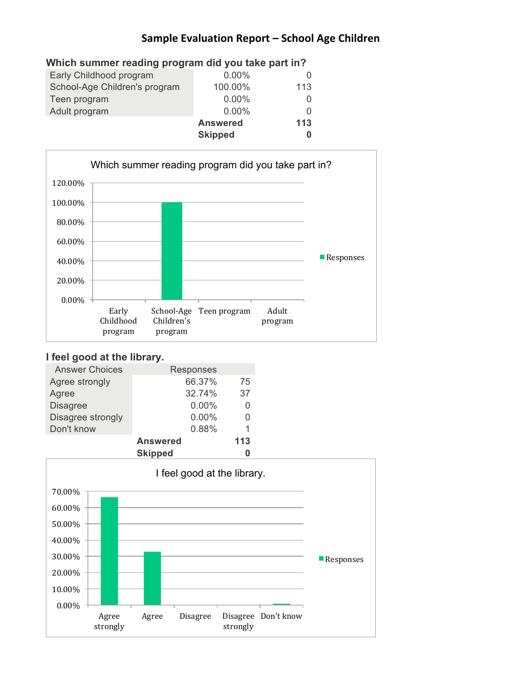| Which summer reading program did you take part in? |                 |     |  |
|----------------------------------------------------|-----------------|-----|--|
| Early Childhood program                            | $0.00\%$        |     |  |
| School-Age Children's program                      | 100.00%         | 113 |  |
| Teen program                                       | 0.00%           | 0   |  |
| Adult program                                      | $0.00\%$        | O   |  |
|                                                    | <b>Answered</b> | 113 |  |
|                                                    | <b>Skipped</b>  | 0   |  |



# **I feel good at the library.**

| <b>Answer Choices</b> | Responses       |     |  |
|-----------------------|-----------------|-----|--|
| Agree strongly        | 66.37%          | 75  |  |
| Agree                 | 32.74%          | 37  |  |
| <b>Disagree</b>       | $0.00\%$        |     |  |
| Disagree strongly     | 0.00%           |     |  |
| Don't know            | 0.88%           | 1   |  |
|                       | <b>Answered</b> | 113 |  |
|                       | <b>Clinnad</b>  | Λ   |  |

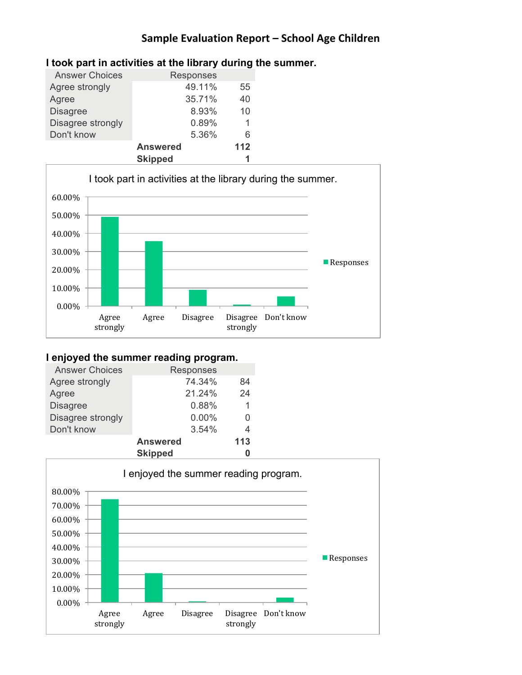| <b>Answer Choices</b> | Responses       |     |
|-----------------------|-----------------|-----|
| Agree strongly        | 49.11%          | 55  |
| Agree                 | 35.71%          | 40  |
| <b>Disagree</b>       | 8.93%           | 10  |
| Disagree strongly     | 0.89%           |     |
| Don't know            | 5.36%           | 6   |
|                       | <b>Answered</b> | 112 |
|                       | <b>Skipped</b>  | 1   |

## **I took part in activities at the library during the summer.**



#### **I enjoyed the summer reading program.**

| <b>Answer Choices</b> |                 | Responses |     |  |
|-----------------------|-----------------|-----------|-----|--|
| Agree strongly        |                 | 74.34%    | 84  |  |
| Agree                 |                 | 21.24%    | 24  |  |
| <b>Disagree</b>       |                 | 0.88%     | 1   |  |
| Disagree strongly     |                 | 0.00%     | 0   |  |
| Don't know            |                 | 3.54%     | 4   |  |
|                       | <b>Answered</b> |           | 113 |  |
|                       | <b>Clinnad</b>  |           | Λ   |  |

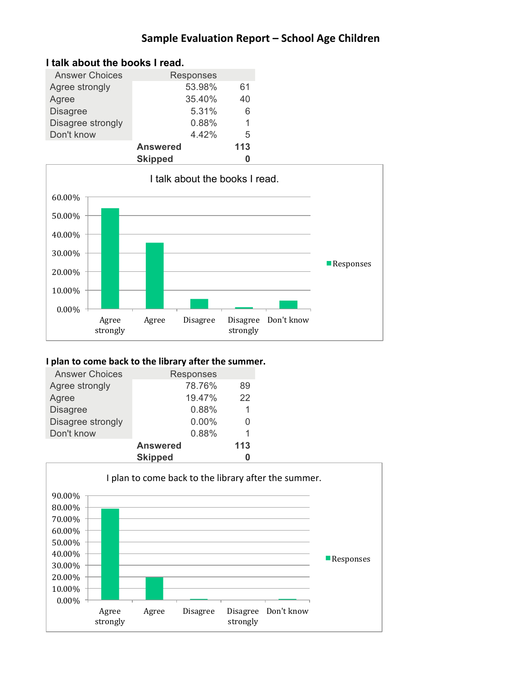| <b>Answer Choices</b> | <b>Responses</b> |     |
|-----------------------|------------------|-----|
| Agree strongly        | 53.98%           | 61  |
| Agree                 | 35.40%           | 40  |
| <b>Disagree</b>       | 5.31%            | 6   |
| Disagree strongly     | 0.88%            | 1   |
| Don't know            | 4.42%            | 5   |
|                       | <b>Answered</b>  | 113 |
|                       | <b>Skipped</b>   |     |





#### **I** plan to come back to the library after the summer.

| <b>Answer Choices</b> | Responses       |     |
|-----------------------|-----------------|-----|
| Agree strongly        | 78.76%          | 89  |
| Agree                 | 19.47%          | 22  |
| <b>Disagree</b>       | 0.88%           |     |
| Disagree strongly     | 0.00%           | 0   |
| Don't know            | 0.88%           | 1   |
|                       | <b>Answered</b> | 113 |
|                       | <b>Skinned</b>  |     |